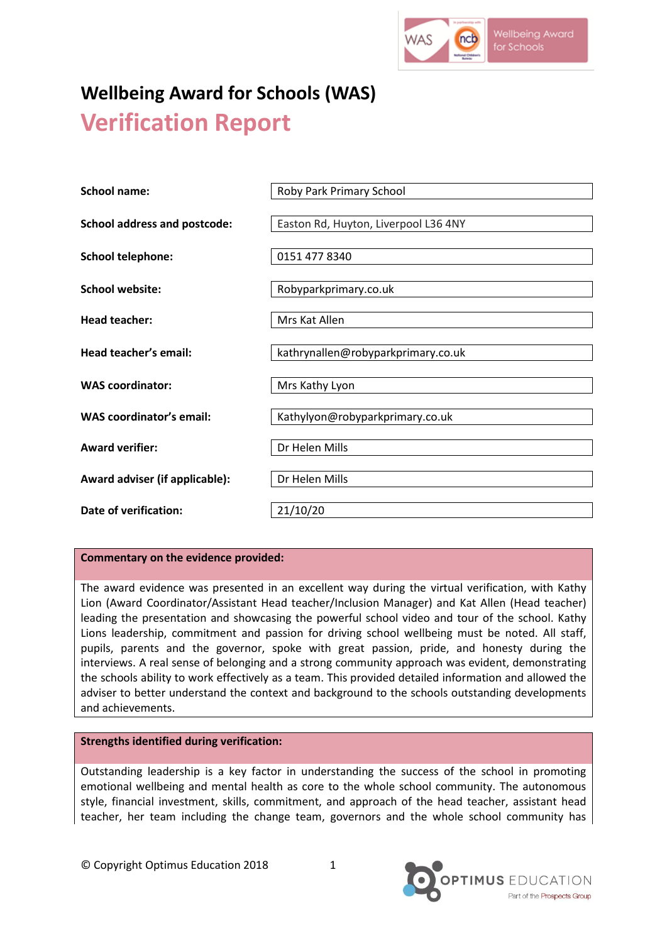

# **Wellbeing Award for Schools (WAS) Verification Report**

| School name:                        | Roby Park Primary School             |
|-------------------------------------|--------------------------------------|
| <b>School address and postcode:</b> | Easton Rd, Huyton, Liverpool L36 4NY |
| <b>School telephone:</b>            | 0151 477 8340                        |
| <b>School website:</b>              | Robyparkprimary.co.uk                |
| <b>Head teacher:</b>                | Mrs Kat Allen                        |
| Head teacher's email:               | kathrynallen@robyparkprimary.co.uk   |
| <b>WAS coordinator:</b>             | Mrs Kathy Lyon                       |
| <b>WAS coordinator's email:</b>     | Kathylyon@robyparkprimary.co.uk      |
| <b>Award verifier:</b>              | Dr Helen Mills                       |
| Award adviser (if applicable):      | Dr Helen Mills                       |
| Date of verification:               | 21/10/20                             |

# **Commentary on the evidence provided:**

The award evidence was presented in an excellent way during the virtual verification, with Kathy Lion (Award Coordinator/Assistant Head teacher/Inclusion Manager) and Kat Allen (Head teacher) leading the presentation and showcasing the powerful school video and tour of the school. Kathy Lions leadership, commitment and passion for driving school wellbeing must be noted. All staff, pupils, parents and the governor, spoke with great passion, pride, and honesty during the interviews. A real sense of belonging and a strong community approach was evident, demonstrating the schools ability to work effectively as a team. This provided detailed information and allowed the adviser to better understand the context and background to the schools outstanding developments and achievements.

#### **Strengths identified during verification:**

Outstanding leadership is a key factor in understanding the success of the school in promoting emotional wellbeing and mental health as core to the whole school community. The autonomous style, financial investment, skills, commitment, and approach of the head teacher, assistant head teacher, her team including the change team, governors and the whole school community has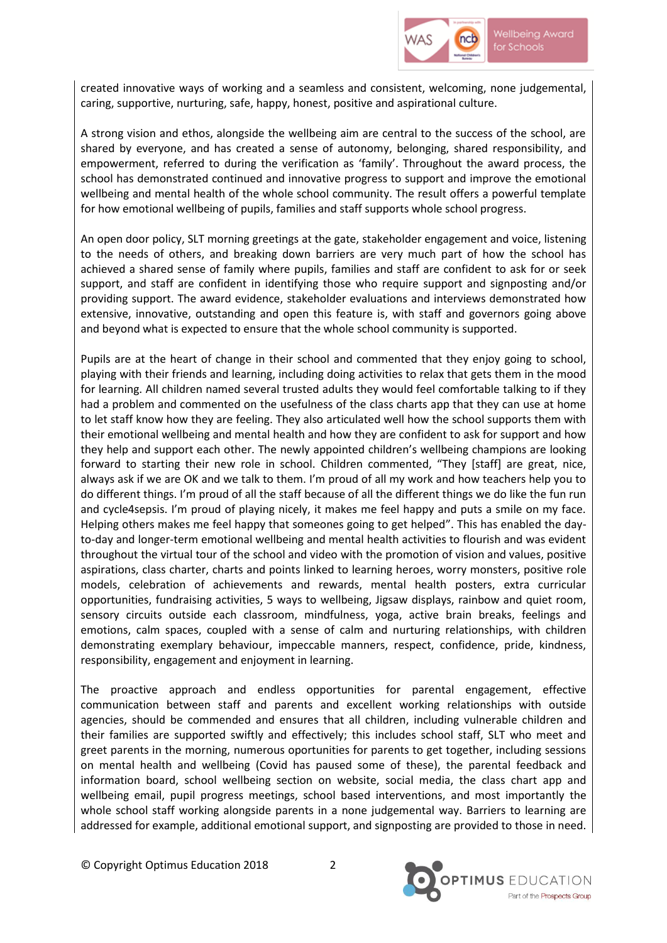

created innovative ways of working and a seamless and consistent, welcoming, none judgemental, caring, supportive, nurturing, safe, happy, honest, positive and aspirational culture.

A strong vision and ethos, alongside the wellbeing aim are central to the success of the school, are shared by everyone, and has created a sense of autonomy, belonging, shared responsibility, and empowerment, referred to during the verification as 'family'. Throughout the award process, the school has demonstrated continued and innovative progress to support and improve the emotional wellbeing and mental health of the whole school community. The result offers a powerful template for how emotional wellbeing of pupils, families and staff supports whole school progress.

An open door policy, SLT morning greetings at the gate, stakeholder engagement and voice, listening to the needs of others, and breaking down barriers are very much part of how the school has achieved a shared sense of family where pupils, families and staff are confident to ask for or seek support, and staff are confident in identifying those who require support and signposting and/or providing support. The award evidence, stakeholder evaluations and interviews demonstrated how extensive, innovative, outstanding and open this feature is, with staff and governors going above and beyond what is expected to ensure that the whole school community is supported.

Pupils are at the heart of change in their school and commented that they enjoy going to school, playing with their friends and learning, including doing activities to relax that gets them in the mood for learning. All children named several trusted adults they would feel comfortable talking to if they had a problem and commented on the usefulness of the class charts app that they can use at home to let staff know how they are feeling. They also articulated well how the school supports them with their emotional wellbeing and mental health and how they are confident to ask for support and how they help and support each other. The newly appointed children's wellbeing champions are looking forward to starting their new role in school. Children commented, "They [staff] are great, nice, always ask if we are OK and we talk to them. I'm proud of all my work and how teachers help you to do different things. I'm proud of all the staff because of all the different things we do like the fun run and cycle4sepsis. I'm proud of playing nicely, it makes me feel happy and puts a smile on my face. Helping others makes me feel happy that someones going to get helped". This has enabled the dayto-day and longer-term emotional wellbeing and mental health activities to flourish and was evident throughout the virtual tour of the school and video with the promotion of vision and values, positive aspirations, class charter, charts and points linked to learning heroes, worry monsters, positive role models, celebration of achievements and rewards, mental health posters, extra curricular opportunities, fundraising activities, 5 ways to wellbeing, Jigsaw displays, rainbow and quiet room, sensory circuits outside each classroom, mindfulness, yoga, active brain breaks, feelings and emotions, calm spaces, coupled with a sense of calm and nurturing relationships, with children demonstrating exemplary behaviour, impeccable manners, respect, confidence, pride, kindness, responsibility, engagement and enjoyment in learning.

The proactive approach and endless opportunities for parental engagement, effective communication between staff and parents and excellent working relationships with outside agencies, should be commended and ensures that all children, including vulnerable children and their families are supported swiftly and effectively; this includes school staff, SLT who meet and greet parents in the morning, numerous oportunities for parents to get together, including sessions on mental health and wellbeing (Covid has paused some of these), the parental feedback and information board, school wellbeing section on website, social media, the class chart app and wellbeing email, pupil progress meetings, school based interventions, and most importantly the whole school staff working alongside parents in a none judgemental way. Barriers to learning are addressed for example, additional emotional support, and signposting are provided to those in need.

© Copyright Optimus Education 2018 2

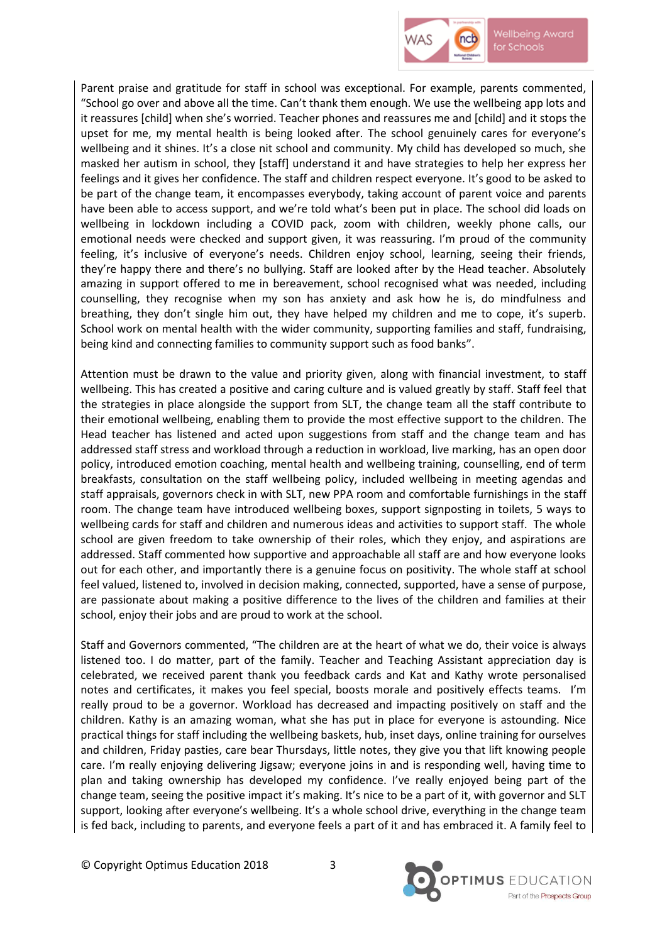

Parent praise and gratitude for staff in school was exceptional. For example, parents commented, "School go over and above all the time. Can't thank them enough. We use the wellbeing app lots and it reassures [child] when she's worried. Teacher phones and reassures me and [child] and it stops the upset for me, my mental health is being looked after. The school genuinely cares for everyone's wellbeing and it shines. It's a close nit school and community. My child has developed so much, she masked her autism in school, they [staff] understand it and have strategies to help her express her feelings and it gives her confidence. The staff and children respect everyone. It's good to be asked to be part of the change team, it encompasses everybody, taking account of parent voice and parents have been able to access support, and we're told what's been put in place. The school did loads on wellbeing in lockdown including a COVID pack, zoom with children, weekly phone calls, our emotional needs were checked and support given, it was reassuring. I'm proud of the community feeling, it's inclusive of everyone's needs. Children enjoy school, learning, seeing their friends, they're happy there and there's no bullying. Staff are looked after by the Head teacher. Absolutely amazing in support offered to me in bereavement, school recognised what was needed, including counselling, they recognise when my son has anxiety and ask how he is, do mindfulness and breathing, they don't single him out, they have helped my children and me to cope, it's superb. School work on mental health with the wider community, supporting families and staff, fundraising, being kind and connecting families to community support such as food banks".

Attention must be drawn to the value and priority given, along with financial investment, to staff wellbeing. This has created a positive and caring culture and is valued greatly by staff. Staff feel that the strategies in place alongside the support from SLT, the change team all the staff contribute to their emotional wellbeing, enabling them to provide the most effective support to the children. The Head teacher has listened and acted upon suggestions from staff and the change team and has addressed staff stress and workload through a reduction in workload, live marking, has an open door policy, introduced emotion coaching, mental health and wellbeing training, counselling, end of term breakfasts, consultation on the staff wellbeing policy, included wellbeing in meeting agendas and staff appraisals, governors check in with SLT, new PPA room and comfortable furnishings in the staff room. The change team have introduced wellbeing boxes, support signposting in toilets, 5 ways to wellbeing cards for staff and children and numerous ideas and activities to support staff. The whole school are given freedom to take ownership of their roles, which they enjoy, and aspirations are addressed. Staff commented how supportive and approachable all staff are and how everyone looks out for each other, and importantly there is a genuine focus on positivity. The whole staff at school feel valued, listened to, involved in decision making, connected, supported, have a sense of purpose, are passionate about making a positive difference to the lives of the children and families at their school, enjoy their jobs and are proud to work at the school.

Staff and Governors commented, "The children are at the heart of what we do, their voice is always listened too. I do matter, part of the family. Teacher and Teaching Assistant appreciation day is celebrated, we received parent thank you feedback cards and Kat and Kathy wrote personalised notes and certificates, it makes you feel special, boosts morale and positively effects teams. I'm really proud to be a governor. Workload has decreased and impacting positively on staff and the children. Kathy is an amazing woman, what she has put in place for everyone is astounding. Nice practical things for staff including the wellbeing baskets, hub, inset days, online training for ourselves and children, Friday pasties, care bear Thursdays, little notes, they give you that lift knowing people care. I'm really enjoying delivering Jigsaw; everyone joins in and is responding well, having time to plan and taking ownership has developed my confidence. I've really enjoyed being part of the change team, seeing the positive impact it's making. It's nice to be a part of it, with governor and SLT support, looking after everyone's wellbeing. It's a whole school drive, everything in the change team is fed back, including to parents, and everyone feels a part of it and has embraced it. A family feel to

© Copyright Optimus Education 2018 3

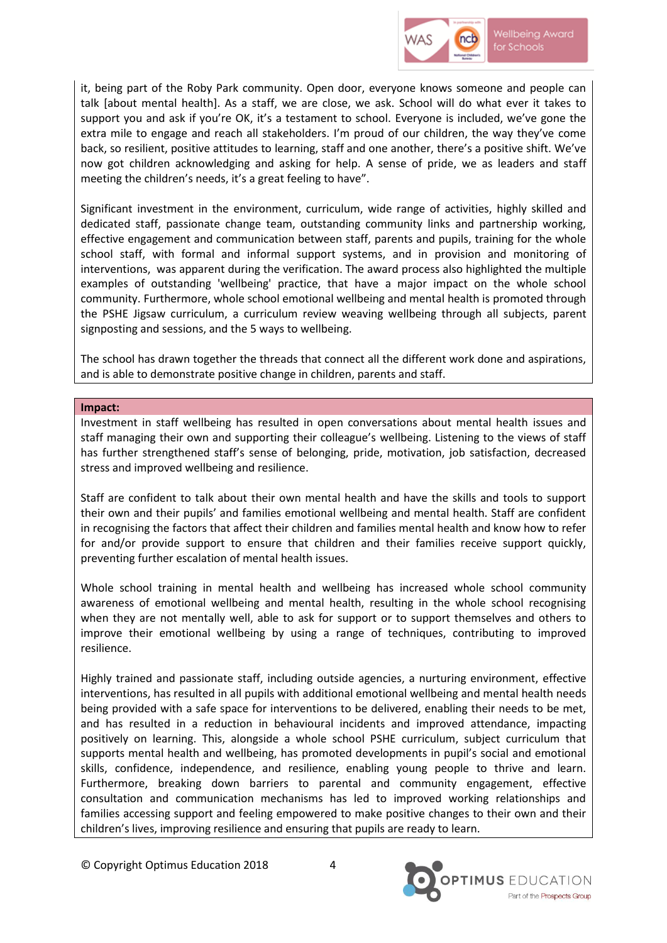

it, being part of the Roby Park community. Open door, everyone knows someone and people can talk [about mental health]. As a staff, we are close, we ask. School will do what ever it takes to support you and ask if you're OK, it's a testament to school. Everyone is included, we've gone the extra mile to engage and reach all stakeholders. I'm proud of our children, the way they've come back, so resilient, positive attitudes to learning, staff and one another, there's a positive shift. We've now got children acknowledging and asking for help. A sense of pride, we as leaders and staff meeting the children's needs, it's a great feeling to have".

Significant investment in the environment, curriculum, wide range of activities, highly skilled and dedicated staff, passionate change team, outstanding community links and partnership working, effective engagement and communication between staff, parents and pupils, training for the whole school staff, with formal and informal support systems, and in provision and monitoring of interventions, was apparent during the verification. The award process also highlighted the multiple examples of outstanding 'wellbeing' practice, that have a major impact on the whole school community. Furthermore, whole school emotional wellbeing and mental health is promoted through the PSHE Jigsaw curriculum, a curriculum review weaving wellbeing through all subjects, parent signposting and sessions, and the 5 ways to wellbeing.

The school has drawn together the threads that connect all the different work done and aspirations, and is able to demonstrate positive change in children, parents and staff.

#### **Impact:**

Investment in staff wellbeing has resulted in open conversations about mental health issues and staff managing their own and supporting their colleague's wellbeing. Listening to the views of staff has further strengthened staff's sense of belonging, pride, motivation, job satisfaction, decreased stress and improved wellbeing and resilience.

Staff are confident to talk about their own mental health and have the skills and tools to support their own and their pupils' and families emotional wellbeing and mental health. Staff are confident in recognising the factors that affect their children and families mental health and know how to refer for and/or provide support to ensure that children and their families receive support quickly, preventing further escalation of mental health issues.

Whole school training in mental health and wellbeing has increased whole school community awareness of emotional wellbeing and mental health, resulting in the whole school recognising when they are not mentally well, able to ask for support or to support themselves and others to improve their emotional wellbeing by using a range of techniques, contributing to improved resilience.

Highly trained and passionate staff, including outside agencies, a nurturing environment, effective interventions, has resulted in all pupils with additional emotional wellbeing and mental health needs being provided with a safe space for interventions to be delivered, enabling their needs to be met, and has resulted in a reduction in behavioural incidents and improved attendance, impacting positively on learning. This, alongside a whole school PSHE curriculum, subject curriculum that supports mental health and wellbeing, has promoted developments in pupil's social and emotional skills, confidence, independence, and resilience, enabling young people to thrive and learn. Furthermore, breaking down barriers to parental and community engagement, effective consultation and communication mechanisms has led to improved working relationships and families accessing support and feeling empowered to make positive changes to their own and their children's lives, improving resilience and ensuring that pupils are ready to learn.